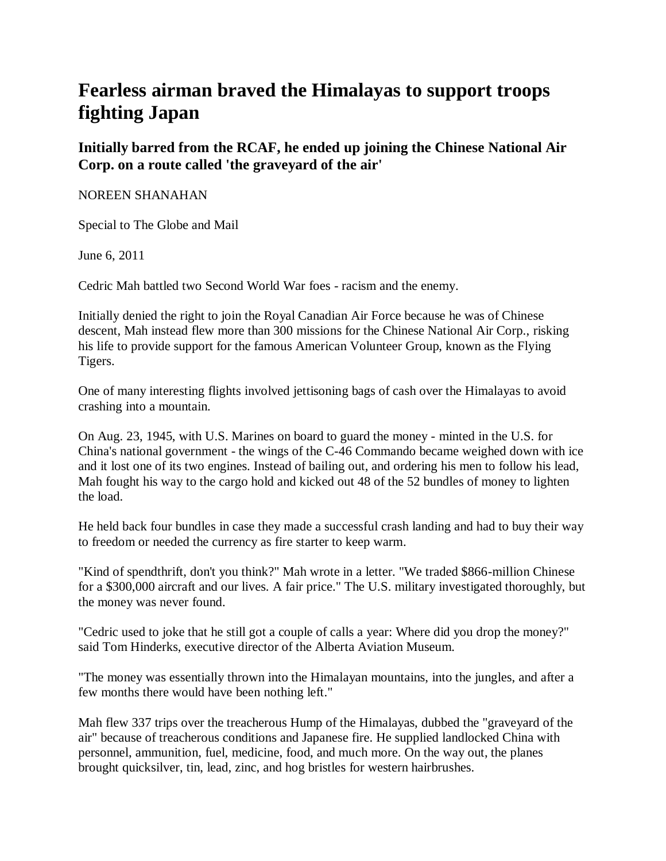## **Fearless airman braved the Himalayas to support troops fighting Japan**

**Initially barred from the RCAF, he ended up joining the Chinese National Air Corp. on a route called 'the graveyard of the air'**

## NOREEN SHANAHAN

Special to The Globe and Mail

June 6, 2011

Cedric Mah battled two Second World War foes - racism and the enemy.

Initially denied the right to join the Royal Canadian Air Force because he was of Chinese descent, Mah instead flew more than 300 missions for the Chinese National Air Corp., risking his life to provide support for the famous American Volunteer Group, known as the Flying Tigers.

One of many interesting flights involved jettisoning bags of cash over the Himalayas to avoid crashing into a mountain.

On Aug. 23, 1945, with U.S. Marines on board to guard the money - minted in the U.S. for China's national government - the wings of the C-46 Commando became weighed down with ice and it lost one of its two engines. Instead of bailing out, and ordering his men to follow his lead, Mah fought his way to the cargo hold and kicked out 48 of the 52 bundles of money to lighten the load.

He held back four bundles in case they made a successful crash landing and had to buy their way to freedom or needed the currency as fire starter to keep warm.

"Kind of spendthrift, don't you think?" Mah wrote in a letter. "We traded \$866-million Chinese for a \$300,000 aircraft and our lives. A fair price." The U.S. military investigated thoroughly, but the money was never found.

"Cedric used to joke that he still got a couple of calls a year: Where did you drop the money?" said Tom Hinderks, executive director of the Alberta Aviation Museum.

"The money was essentially thrown into the Himalayan mountains, into the jungles, and after a few months there would have been nothing left."

Mah flew 337 trips over the treacherous Hump of the Himalayas, dubbed the "graveyard of the air" because of treacherous conditions and Japanese fire. He supplied landlocked China with personnel, ammunition, fuel, medicine, food, and much more. On the way out, the planes brought quicksilver, tin, lead, zinc, and hog bristles for western hairbrushes.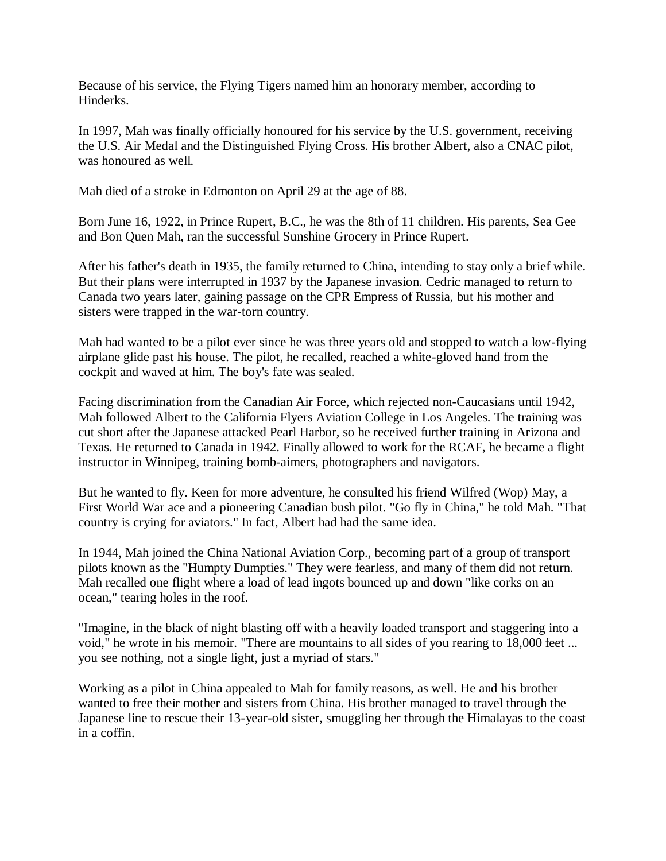Because of his service, the Flying Tigers named him an honorary member, according to Hinderks.

In 1997, Mah was finally officially honoured for his service by the U.S. government, receiving the U.S. Air Medal and the Distinguished Flying Cross. His brother Albert, also a CNAC pilot, was honoured as well.

Mah died of a stroke in Edmonton on April 29 at the age of 88.

Born June 16, 1922, in Prince Rupert, B.C., he was the 8th of 11 children. His parents, Sea Gee and Bon Quen Mah, ran the successful Sunshine Grocery in Prince Rupert.

After his father's death in 1935, the family returned to China, intending to stay only a brief while. But their plans were interrupted in 1937 by the Japanese invasion. Cedric managed to return to Canada two years later, gaining passage on the CPR Empress of Russia, but his mother and sisters were trapped in the war-torn country.

Mah had wanted to be a pilot ever since he was three years old and stopped to watch a low-flying airplane glide past his house. The pilot, he recalled, reached a white-gloved hand from the cockpit and waved at him. The boy's fate was sealed.

Facing discrimination from the Canadian Air Force, which rejected non-Caucasians until 1942, Mah followed Albert to the California Flyers Aviation College in Los Angeles. The training was cut short after the Japanese attacked Pearl Harbor, so he received further training in Arizona and Texas. He returned to Canada in 1942. Finally allowed to work for the RCAF, he became a flight instructor in Winnipeg, training bomb-aimers, photographers and navigators.

But he wanted to fly. Keen for more adventure, he consulted his friend Wilfred (Wop) May, a First World War ace and a pioneering Canadian bush pilot. "Go fly in China," he told Mah. "That country is crying for aviators." In fact, Albert had had the same idea.

In 1944, Mah joined the China National Aviation Corp., becoming part of a group of transport pilots known as the "Humpty Dumpties." They were fearless, and many of them did not return. Mah recalled one flight where a load of lead ingots bounced up and down "like corks on an ocean," tearing holes in the roof.

"Imagine, in the black of night blasting off with a heavily loaded transport and staggering into a void," he wrote in his memoir. "There are mountains to all sides of you rearing to 18,000 feet ... you see nothing, not a single light, just a myriad of stars."

Working as a pilot in China appealed to Mah for family reasons, as well. He and his brother wanted to free their mother and sisters from China. His brother managed to travel through the Japanese line to rescue their 13-year-old sister, smuggling her through the Himalayas to the coast in a coffin.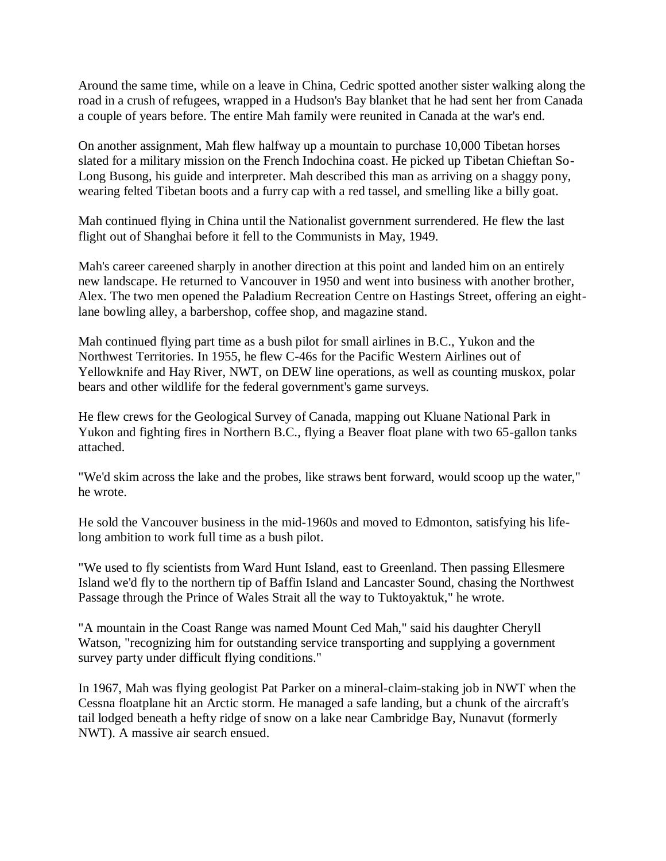Around the same time, while on a leave in China, Cedric spotted another sister walking along the road in a crush of refugees, wrapped in a Hudson's Bay blanket that he had sent her from Canada a couple of years before. The entire Mah family were reunited in Canada at the war's end.

On another assignment, Mah flew halfway up a mountain to purchase 10,000 Tibetan horses slated for a military mission on the French Indochina coast. He picked up Tibetan Chieftan So-Long Busong, his guide and interpreter. Mah described this man as arriving on a shaggy pony, wearing felted Tibetan boots and a furry cap with a red tassel, and smelling like a billy goat.

Mah continued flying in China until the Nationalist government surrendered. He flew the last flight out of Shanghai before it fell to the Communists in May, 1949.

Mah's career careened sharply in another direction at this point and landed him on an entirely new landscape. He returned to Vancouver in 1950 and went into business with another brother, Alex. The two men opened the Paladium Recreation Centre on Hastings Street, offering an eightlane bowling alley, a barbershop, coffee shop, and magazine stand.

Mah continued flying part time as a bush pilot for small airlines in B.C., Yukon and the Northwest Territories. In 1955, he flew C-46s for the Pacific Western Airlines out of Yellowknife and Hay River, NWT, on DEW line operations, as well as counting muskox, polar bears and other wildlife for the federal government's game surveys.

He flew crews for the Geological Survey of Canada, mapping out Kluane National Park in Yukon and fighting fires in Northern B.C., flying a Beaver float plane with two 65-gallon tanks attached.

"We'd skim across the lake and the probes, like straws bent forward, would scoop up the water," he wrote.

He sold the Vancouver business in the mid-1960s and moved to Edmonton, satisfying his lifelong ambition to work full time as a bush pilot.

"We used to fly scientists from Ward Hunt Island, east to Greenland. Then passing Ellesmere Island we'd fly to the northern tip of Baffin Island and Lancaster Sound, chasing the Northwest Passage through the Prince of Wales Strait all the way to Tuktoyaktuk," he wrote.

"A mountain in the Coast Range was named Mount Ced Mah," said his daughter Cheryll Watson, "recognizing him for outstanding service transporting and supplying a government survey party under difficult flying conditions."

In 1967, Mah was flying geologist Pat Parker on a mineral-claim-staking job in NWT when the Cessna floatplane hit an Arctic storm. He managed a safe landing, but a chunk of the aircraft's tail lodged beneath a hefty ridge of snow on a lake near Cambridge Bay, Nunavut (formerly NWT). A massive air search ensued.